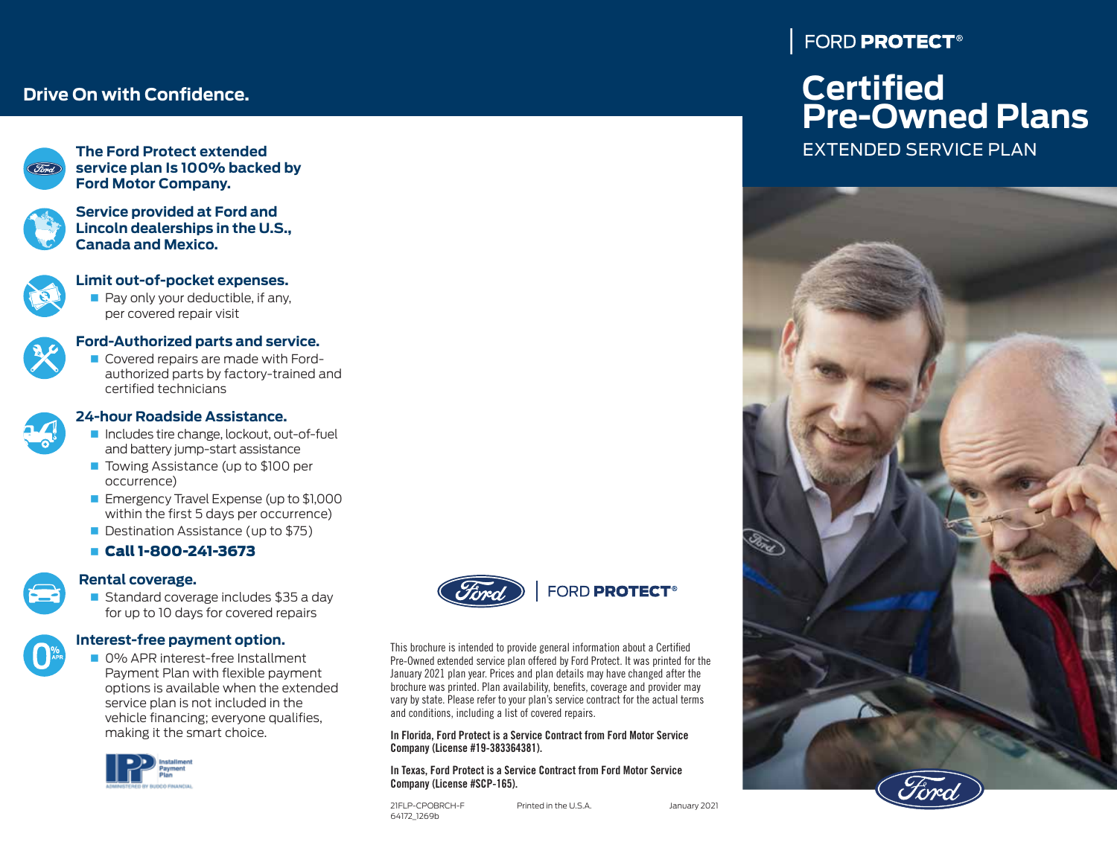# **Drive On with Confidence.**



**The Ford Protect extended service plan Is 100% backed by Ford Motor Company.**



**Service provided at Ford and Lincoln dealerships in the U.S., Canada and Mexico.**

## **Limit out-of-pocket expenses.**

 $\blacksquare$  Pay only your deductible, if any, per covered repair visit



- **Ford-Authorized parts and service.**
- Covered repairs are made with Fordauthorized parts by factory-trained and certified technicians



#### **24-hour Roadside Assistance.**

- Includes tire change, lockout, out-of-fuel and battery jump-start assistance
- Towing Assistance (up to \$100 per occurrence)
- **Emergency Travel Expense (up to \$1,000** within the first 5 days per occurrence)
- Destination Assistance (up to \$75)
- Call 1-800-241-3673

# **Rental coverage.**

Standard coverage includes \$35 a day for up to 10 days for covered repairs



#### **Interest-free payment option.**

**0% APR interest-free Installment** Payment Plan with flexible payment options is available when the extended service plan is not included in the vehicle financing; everyone qualifies, making it the smart choice.





This brochure is intended to provide general information about a Certified Pre-Owned extended service plan offered by Ford Protect. It was printed for the January 2021 plan year. Prices and plan details may have changed after the brochure was printed. Plan availability, benefits, coverage and provider may vary by state. Please refer to your plan's service contract for the actual terms and conditions, including a list of covered repairs.

#### In Florida, Ford Protect is a Service Contract from Ford Motor Service Company (License #19-383364381).

#### In Texas, Ford Protect is a Service Contract from Ford Motor Service Company (License #SCP-165).

21FLP-CPOBRCH-F Printed in the U.S.A. January 2021 64172\_1269b

FORD PROTECT<sup>®</sup>

# **Certified Pre-Owned Plans**

EXTENDED SERVICE PLAN